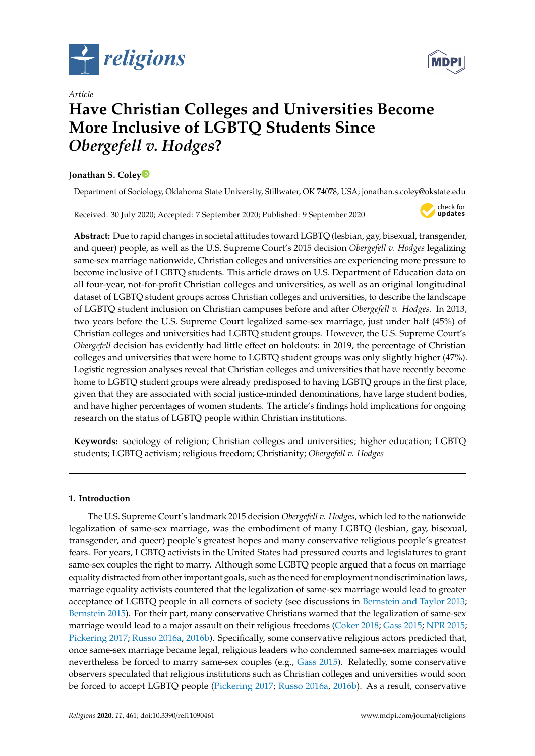



# *Article* **Have Christian Colleges and Universities Become More Inclusive of LGBTQ Students Since** *Obergefell v. Hodges***?**

# **Jonathan S. Cole[y](https://orcid.org/0000-0002-0829-6171)**

Department of Sociology, Oklahoma State University, Stillwater, OK 74078, USA; jonathan.s.coley@okstate.edu

Received: 30 July 2020; Accepted: 7 September 2020; Published: 9 September 2020



**Abstract:** Due to rapid changes in societal attitudes toward LGBTQ (lesbian, gay, bisexual, transgender, and queer) people, as well as the U.S. Supreme Court's 2015 decision *Obergefell v. Hodges* legalizing same-sex marriage nationwide, Christian colleges and universities are experiencing more pressure to become inclusive of LGBTQ students. This article draws on U.S. Department of Education data on all four-year, not-for-profit Christian colleges and universities, as well as an original longitudinal dataset of LGBTQ student groups across Christian colleges and universities, to describe the landscape of LGBTQ student inclusion on Christian campuses before and after *Obergefell v. Hodges*. In 2013, two years before the U.S. Supreme Court legalized same-sex marriage, just under half (45%) of Christian colleges and universities had LGBTQ student groups. However, the U.S. Supreme Court's *Obergefell* decision has evidently had little effect on holdouts: in 2019, the percentage of Christian colleges and universities that were home to LGBTQ student groups was only slightly higher (47%). Logistic regression analyses reveal that Christian colleges and universities that have recently become home to LGBTQ student groups were already predisposed to having LGBTQ groups in the first place, given that they are associated with social justice-minded denominations, have large student bodies, and have higher percentages of women students. The article's findings hold implications for ongoing research on the status of LGBTQ people within Christian institutions.

**Keywords:** sociology of religion; Christian colleges and universities; higher education; LGBTQ students; LGBTQ activism; religious freedom; Christianity; *Obergefell v. Hodges*

# **1. Introduction**

The U.S. Supreme Court's landmark 2015 decision *Obergefell v. Hodges*, which led to the nationwide legalization of same-sex marriage, was the embodiment of many LGBTQ (lesbian, gay, bisexual, transgender, and queer) people's greatest hopes and many conservative religious people's greatest fears. For years, LGBTQ activists in the United States had pressured courts and legislatures to grant same-sex couples the right to marry. Although some LGBTQ people argued that a focus on marriage equality distracted from other important goals, such as the need for employment nondiscrimination laws, marriage equality activists countered that the legalization of same-sex marriage would lead to greater acceptance of LGBTQ people in all corners of society (see discussions in [Bernstein and Taylor](#page-11-0) [2013;](#page-11-0) [Bernstein](#page-11-1) [2015\)](#page-11-1). For their part, many conservative Christians warned that the legalization of same-sex marriage would lead to a major assault on their religious freedoms [\(Coker](#page-11-2) [2018;](#page-11-2) [Gass](#page-11-3) [2015;](#page-11-3) [NPR](#page-12-0) [2015;](#page-12-0) [Pickering](#page-12-1) [2017;](#page-12-1) [Russo](#page-12-2) [2016a,](#page-12-2) [2016b\)](#page-12-3). Specifically, some conservative religious actors predicted that, once same-sex marriage became legal, religious leaders who condemned same-sex marriages would nevertheless be forced to marry same-sex couples (e.g., [Gass](#page-11-3) [2015\)](#page-11-3). Relatedly, some conservative observers speculated that religious institutions such as Christian colleges and universities would soon be forced to accept LGBTQ people [\(Pickering](#page-12-1) [2017;](#page-12-1) [Russo](#page-12-2) [2016a,](#page-12-2) [2016b\)](#page-12-3). As a result, conservative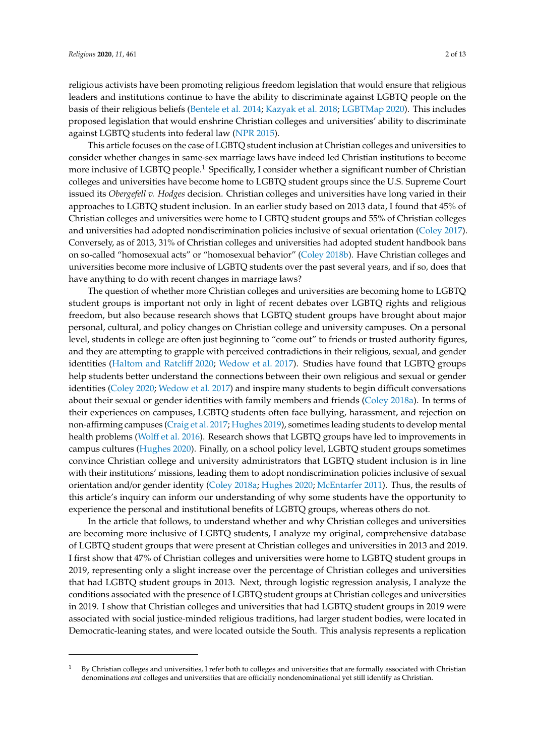religious activists have been promoting religious freedom legislation that would ensure that religious leaders and institutions continue to have the ability to discriminate against LGBTQ people on the basis of their religious beliefs [\(Bentele et al.](#page-10-0) [2014;](#page-10-0) [Kazyak et al.](#page-11-4) [2018;](#page-11-4) [LGBTMap](#page-12-4) [2020\)](#page-12-4). This includes proposed legislation that would enshrine Christian colleges and universities' ability to discriminate against LGBTQ students into federal law [\(NPR](#page-12-0) [2015\)](#page-12-0).

This article focuses on the case of LGBTQ student inclusion at Christian colleges and universities to consider whether changes in same-sex marriage laws have indeed led Christian institutions to become more inclusive of LGBTQ people.<sup>1</sup> Specifically, I consider whether a significant number of Christian colleges and universities have become home to LGBTQ student groups since the U.S. Supreme Court issued its *Obergefell v. Hodges* decision. Christian colleges and universities have long varied in their approaches to LGBTQ student inclusion. In an earlier study based on 2013 data, I found that 45% of Christian colleges and universities were home to LGBTQ student groups and 55% of Christian colleges and universities had adopted nondiscrimination policies inclusive of sexual orientation [\(Coley](#page-11-5) [2017\)](#page-11-5). Conversely, as of 2013, 31% of Christian colleges and universities had adopted student handbook bans on so-called "homosexual acts" or "homosexual behavior" [\(Coley](#page-11-6) [2018b\)](#page-11-6). Have Christian colleges and universities become more inclusive of LGBTQ students over the past several years, and if so, does that have anything to do with recent changes in marriage laws?

The question of whether more Christian colleges and universities are becoming home to LGBTQ student groups is important not only in light of recent debates over LGBTQ rights and religious freedom, but also because research shows that LGBTQ student groups have brought about major personal, cultural, and policy changes on Christian college and university campuses. On a personal level, students in college are often just beginning to "come out" to friends or trusted authority figures, and they are attempting to grapple with perceived contradictions in their religious, sexual, and gender identities [\(Haltom and Ratcli](#page-11-7)ff [2020;](#page-11-7) [Wedow et al.](#page-12-5) [2017\)](#page-12-5). Studies have found that LGBTQ groups help students better understand the connections between their own religious and sexual or gender identities [\(Coley](#page-11-8) [2020;](#page-11-8) [Wedow et al.](#page-12-5) [2017\)](#page-12-5) and inspire many students to begin difficult conversations about their sexual or gender identities with family members and friends [\(Coley](#page-11-9) [2018a\)](#page-11-9). In terms of their experiences on campuses, LGBTQ students often face bullying, harassment, and rejection on non-affirming campuses [\(Craig et al.](#page-11-10) [2017;](#page-11-10) [Hughes](#page-11-11) [2019\)](#page-11-11), sometimes leading students to develop mental health problems (Wolff [et al.](#page-12-6) [2016\)](#page-12-6). Research shows that LGBTQ groups have led to improvements in campus cultures [\(Hughes](#page-11-12) [2020\)](#page-11-12). Finally, on a school policy level, LGBTQ student groups sometimes convince Christian college and university administrators that LGBTQ student inclusion is in line with their institutions' missions, leading them to adopt nondiscrimination policies inclusive of sexual orientation and/or gender identity [\(Coley](#page-11-9) [2018a;](#page-11-9) [Hughes](#page-11-12) [2020;](#page-11-12) [McEntarfer](#page-12-7) [2011\)](#page-12-7). Thus, the results of this article's inquiry can inform our understanding of why some students have the opportunity to experience the personal and institutional benefits of LGBTQ groups, whereas others do not.

In the article that follows, to understand whether and why Christian colleges and universities are becoming more inclusive of LGBTQ students, I analyze my original, comprehensive database of LGBTQ student groups that were present at Christian colleges and universities in 2013 and 2019. I first show that 47% of Christian colleges and universities were home to LGBTQ student groups in 2019, representing only a slight increase over the percentage of Christian colleges and universities that had LGBTQ student groups in 2013. Next, through logistic regression analysis, I analyze the conditions associated with the presence of LGBTQ student groups at Christian colleges and universities in 2019. I show that Christian colleges and universities that had LGBTQ student groups in 2019 were associated with social justice-minded religious traditions, had larger student bodies, were located in Democratic-leaning states, and were located outside the South. This analysis represents a replication

<sup>1</sup> By Christian colleges and universities, I refer both to colleges and universities that are formally associated with Christian denominations *and* colleges and universities that are officially nondenominational yet still identify as Christian.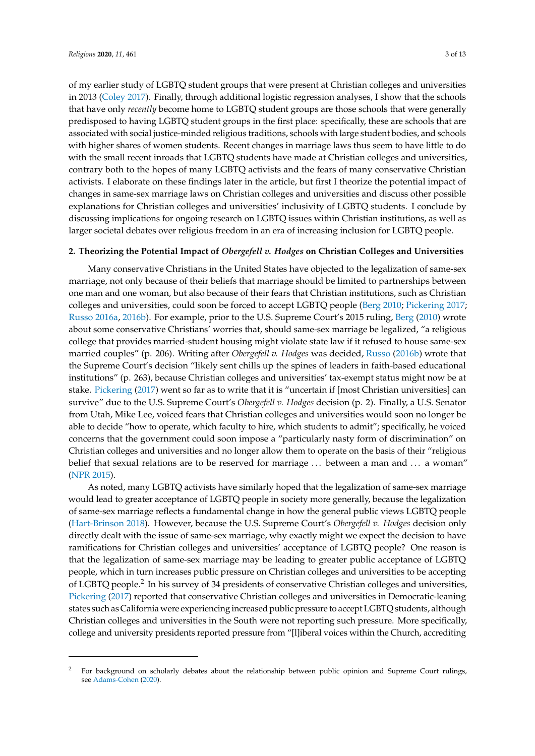of my earlier study of LGBTQ student groups that were present at Christian colleges and universities in 2013 [\(Coley](#page-11-5) [2017\)](#page-11-5). Finally, through additional logistic regression analyses, I show that the schools that have only *recently* become home to LGBTQ student groups are those schools that were generally predisposed to having LGBTQ student groups in the first place: specifically, these are schools that are associated with social justice-minded religious traditions, schools with large student bodies, and schools with higher shares of women students. Recent changes in marriage laws thus seem to have little to do with the small recent inroads that LGBTQ students have made at Christian colleges and universities, contrary both to the hopes of many LGBTQ activists and the fears of many conservative Christian activists. I elaborate on these findings later in the article, but first I theorize the potential impact of changes in same-sex marriage laws on Christian colleges and universities and discuss other possible explanations for Christian colleges and universities' inclusivity of LGBTQ students. I conclude by discussing implications for ongoing research on LGBTQ issues within Christian institutions, as well as larger societal debates over religious freedom in an era of increasing inclusion for LGBTQ people.

# **2. Theorizing the Potential Impact of** *Obergefell v. Hodges* **on Christian Colleges and Universities**

Many conservative Christians in the United States have objected to the legalization of same-sex marriage, not only because of their beliefs that marriage should be limited to partnerships between one man and one woman, but also because of their fears that Christian institutions, such as Christian colleges and universities, could soon be forced to accept LGBTQ people [\(Berg](#page-10-1) [2010;](#page-10-1) [Pickering](#page-12-1) [2017;](#page-12-1) [Russo](#page-12-2) [2016a,](#page-12-2) [2016b\)](#page-12-3). For example, prior to the U.S. Supreme Court's 2015 ruling, [Berg](#page-10-1) [\(2010\)](#page-10-1) wrote about some conservative Christians' worries that, should same-sex marriage be legalized, "a religious college that provides married-student housing might violate state law if it refused to house same-sex married couples" (p. 206). Writing after *Obergefell v. Hodges* was decided, [Russo](#page-12-3) [\(2016b\)](#page-12-3) wrote that the Supreme Court's decision "likely sent chills up the spines of leaders in faith-based educational institutions" (p. 263), because Christian colleges and universities' tax-exempt status might now be at stake. [Pickering](#page-12-1) [\(2017\)](#page-12-1) went so far as to write that it is "uncertain if [most Christian universities] can survive" due to the U.S. Supreme Court's *Obergefell v. Hodges* decision (p. 2). Finally, a U.S. Senator from Utah, Mike Lee, voiced fears that Christian colleges and universities would soon no longer be able to decide "how to operate, which faculty to hire, which students to admit"; specifically, he voiced concerns that the government could soon impose a "particularly nasty form of discrimination" on Christian colleges and universities and no longer allow them to operate on the basis of their "religious belief that sexual relations are to be reserved for marriage ... between a man and ... a woman" [\(NPR](#page-12-0) [2015\)](#page-12-0).

As noted, many LGBTQ activists have similarly hoped that the legalization of same-sex marriage would lead to greater acceptance of LGBTQ people in society more generally, because the legalization of same-sex marriage reflects a fundamental change in how the general public views LGBTQ people [\(Hart-Brinson](#page-11-13) [2018\)](#page-11-13). However, because the U.S. Supreme Court's *Obergefell v. Hodges* decision only directly dealt with the issue of same-sex marriage, why exactly might we expect the decision to have ramifications for Christian colleges and universities' acceptance of LGBTQ people? One reason is that the legalization of same-sex marriage may be leading to greater public acceptance of LGBTQ people, which in turn increases public pressure on Christian colleges and universities to be accepting of LGBTQ people.<sup>2</sup> In his survey of 34 presidents of conservative Christian colleges and universities, [Pickering](#page-12-1) [\(2017\)](#page-12-1) reported that conservative Christian colleges and universities in Democratic-leaning states such as California were experiencing increased public pressure to accept LGBTQ students, although Christian colleges and universities in the South were not reporting such pressure. More specifically, college and university presidents reported pressure from "[l]iberal voices within the Church, accrediting

<sup>2</sup> For background on scholarly debates about the relationship between public opinion and Supreme Court rulings, see [Adams-Cohen](#page-10-2) [\(2020\)](#page-10-2).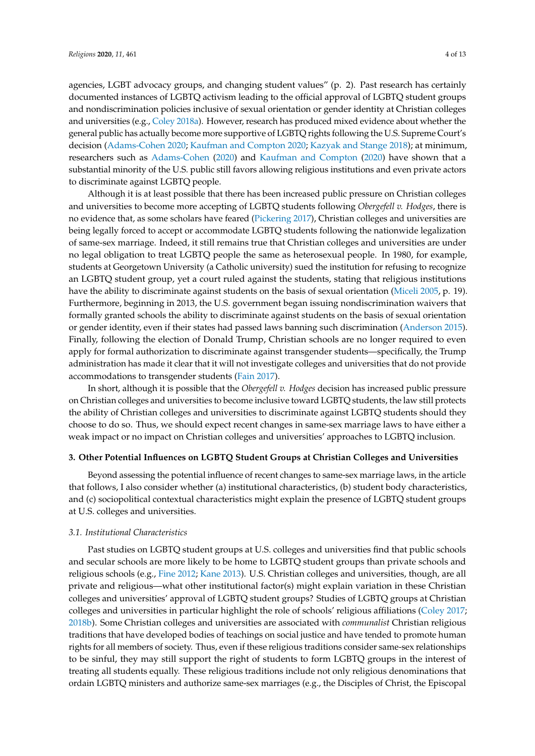agencies, LGBT advocacy groups, and changing student values" (p. 2). Past research has certainly documented instances of LGBTQ activism leading to the official approval of LGBTQ student groups and nondiscrimination policies inclusive of sexual orientation or gender identity at Christian colleges and universities (e.g., [Coley](#page-11-9) [2018a\)](#page-11-9). However, research has produced mixed evidence about whether the general public has actually become more supportive of LGBTQ rights following the U.S. Supreme Court's decision [\(Adams-Cohen](#page-10-2) [2020;](#page-10-2) [Kaufman and Compton](#page-11-14) [2020;](#page-11-14) [Kazyak and Stange](#page-11-15) [2018\)](#page-11-15); at minimum, researchers such as [Adams-Cohen](#page-10-2) [\(2020\)](#page-10-2) and [Kaufman and Compton](#page-11-14) [\(2020\)](#page-11-14) have shown that a substantial minority of the U.S. public still favors allowing religious institutions and even private actors to discriminate against LGBTQ people.

Although it is at least possible that there has been increased public pressure on Christian colleges and universities to become more accepting of LGBTQ students following *Obergefell v. Hodges*, there is no evidence that, as some scholars have feared [\(Pickering](#page-12-1) [2017\)](#page-12-1), Christian colleges and universities are being legally forced to accept or accommodate LGBTQ students following the nationwide legalization of same-sex marriage. Indeed, it still remains true that Christian colleges and universities are under no legal obligation to treat LGBTQ people the same as heterosexual people. In 1980, for example, students at Georgetown University (a Catholic university) sued the institution for refusing to recognize an LGBTQ student group, yet a court ruled against the students, stating that religious institutions have the ability to discriminate against students on the basis of sexual orientation [\(Miceli](#page-12-8) [2005,](#page-12-8) p. 19). Furthermore, beginning in 2013, the U.S. government began issuing nondiscrimination waivers that formally granted schools the ability to discriminate against students on the basis of sexual orientation or gender identity, even if their states had passed laws banning such discrimination [\(Anderson](#page-10-3) [2015\)](#page-10-3). Finally, following the election of Donald Trump, Christian schools are no longer required to even apply for formal authorization to discriminate against transgender students—specifically, the Trump administration has made it clear that it will not investigate colleges and universities that do not provide accommodations to transgender students [\(Fain](#page-11-16) [2017\)](#page-11-16).

In short, although it is possible that the *Obergefell v. Hodges* decision has increased public pressure on Christian colleges and universities to become inclusive toward LGBTQ students, the law still protects the ability of Christian colleges and universities to discriminate against LGBTQ students should they choose to do so. Thus, we should expect recent changes in same-sex marriage laws to have either a weak impact or no impact on Christian colleges and universities' approaches to LGBTQ inclusion.

#### **3. Other Potential Influences on LGBTQ Student Groups at Christian Colleges and Universities**

Beyond assessing the potential influence of recent changes to same-sex marriage laws, in the article that follows, I also consider whether (a) institutional characteristics, (b) student body characteristics, and (c) sociopolitical contextual characteristics might explain the presence of LGBTQ student groups at U.S. colleges and universities.

# *3.1. Institutional Characteristics*

Past studies on LGBTQ student groups at U.S. colleges and universities find that public schools and secular schools are more likely to be home to LGBTQ student groups than private schools and religious schools (e.g., [Fine](#page-11-17) [2012;](#page-11-17) [Kane](#page-11-18) [2013\)](#page-11-18). U.S. Christian colleges and universities, though, are all private and religious—what other institutional factor(s) might explain variation in these Christian colleges and universities' approval of LGBTQ student groups? Studies of LGBTQ groups at Christian colleges and universities in particular highlight the role of schools' religious affiliations [\(Coley](#page-11-5) [2017;](#page-11-5) [2018b\)](#page-11-6). Some Christian colleges and universities are associated with *communalist* Christian religious traditions that have developed bodies of teachings on social justice and have tended to promote human rights for all members of society. Thus, even if these religious traditions consider same-sex relationships to be sinful, they may still support the right of students to form LGBTQ groups in the interest of treating all students equally. These religious traditions include not only religious denominations that ordain LGBTQ ministers and authorize same-sex marriages (e.g., the Disciples of Christ, the Episcopal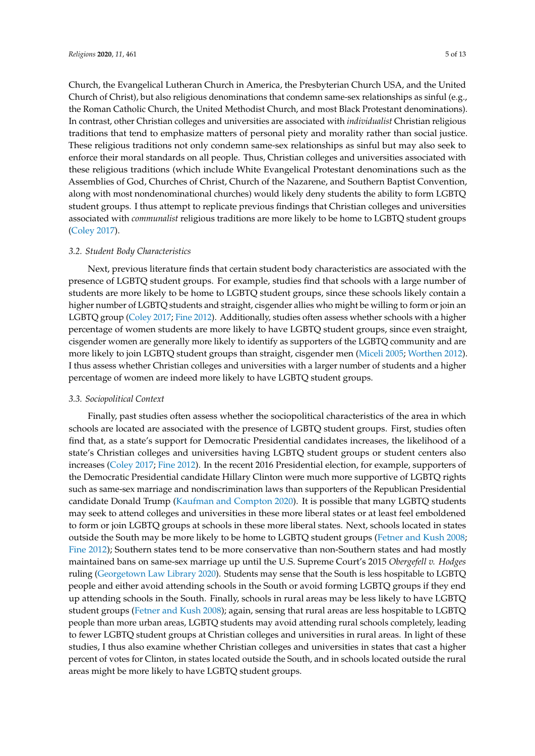Church, the Evangelical Lutheran Church in America, the Presbyterian Church USA, and the United Church of Christ), but also religious denominations that condemn same-sex relationships as sinful (e.g., the Roman Catholic Church, the United Methodist Church, and most Black Protestant denominations). In contrast, other Christian colleges and universities are associated with *individualist* Christian religious traditions that tend to emphasize matters of personal piety and morality rather than social justice. These religious traditions not only condemn same-sex relationships as sinful but may also seek to enforce their moral standards on all people. Thus, Christian colleges and universities associated with these religious traditions (which include White Evangelical Protestant denominations such as the Assemblies of God, Churches of Christ, Church of the Nazarene, and Southern Baptist Convention, along with most nondenominational churches) would likely deny students the ability to form LGBTQ student groups. I thus attempt to replicate previous findings that Christian colleges and universities associated with *communalist* religious traditions are more likely to be home to LGBTQ student groups [\(Coley](#page-11-5) [2017\)](#page-11-5).

#### *3.2. Student Body Characteristics*

Next, previous literature finds that certain student body characteristics are associated with the presence of LGBTQ student groups. For example, studies find that schools with a large number of students are more likely to be home to LGBTQ student groups, since these schools likely contain a higher number of LGBTQ students and straight, cisgender allies who might be willing to form or join an LGBTQ group [\(Coley](#page-11-5) [2017;](#page-11-5) [Fine](#page-11-17) [2012\)](#page-11-17). Additionally, studies often assess whether schools with a higher percentage of women students are more likely to have LGBTQ student groups, since even straight, cisgender women are generally more likely to identify as supporters of the LGBTQ community and are more likely to join LGBTQ student groups than straight, cisgender men [\(Miceli](#page-12-8) [2005;](#page-12-8) [Worthen](#page-12-9) [2012\)](#page-12-9). I thus assess whether Christian colleges and universities with a larger number of students and a higher percentage of women are indeed more likely to have LGBTQ student groups.

#### *3.3. Sociopolitical Context*

Finally, past studies often assess whether the sociopolitical characteristics of the area in which schools are located are associated with the presence of LGBTQ student groups. First, studies often find that, as a state's support for Democratic Presidential candidates increases, the likelihood of a state's Christian colleges and universities having LGBTQ student groups or student centers also increases [\(Coley](#page-11-5) [2017;](#page-11-5) [Fine](#page-11-17) [2012\)](#page-11-17). In the recent 2016 Presidential election, for example, supporters of the Democratic Presidential candidate Hillary Clinton were much more supportive of LGBTQ rights such as same-sex marriage and nondiscrimination laws than supporters of the Republican Presidential candidate Donald Trump [\(Kaufman and Compton](#page-11-14) [2020\)](#page-11-14). It is possible that many LGBTQ students may seek to attend colleges and universities in these more liberal states or at least feel emboldened to form or join LGBTQ groups at schools in these more liberal states. Next, schools located in states outside the South may be more likely to be home to LGBTQ student groups [\(Fetner and Kush](#page-11-19) [2008;](#page-11-19) [Fine](#page-11-17) [2012\)](#page-11-17); Southern states tend to be more conservative than non-Southern states and had mostly maintained bans on same-sex marriage up until the U.S. Supreme Court's 2015 *Obergefell v. Hodges* ruling [\(Georgetown Law Library](#page-11-20) [2020\)](#page-11-20). Students may sense that the South is less hospitable to LGBTQ people and either avoid attending schools in the South or avoid forming LGBTQ groups if they end up attending schools in the South. Finally, schools in rural areas may be less likely to have LGBTQ student groups [\(Fetner and Kush](#page-11-19) [2008\)](#page-11-19); again, sensing that rural areas are less hospitable to LGBTQ people than more urban areas, LGBTQ students may avoid attending rural schools completely, leading to fewer LGBTQ student groups at Christian colleges and universities in rural areas. In light of these studies, I thus also examine whether Christian colleges and universities in states that cast a higher percent of votes for Clinton, in states located outside the South, and in schools located outside the rural areas might be more likely to have LGBTQ student groups.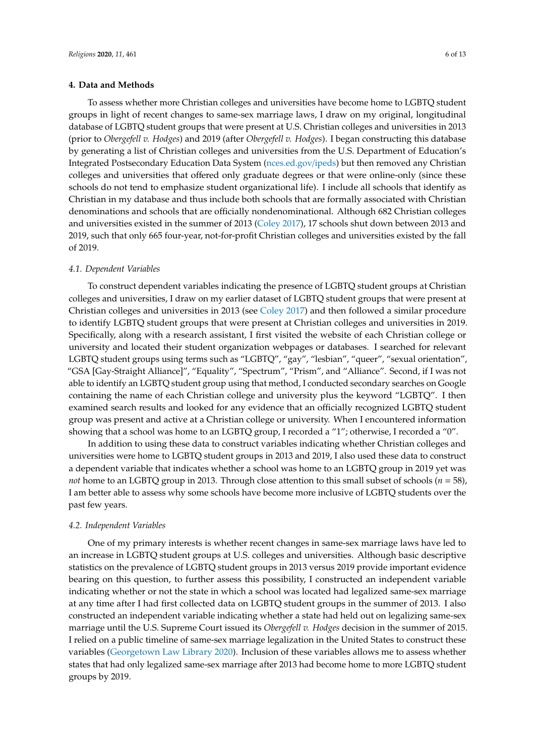#### **4. Data and Methods**

To assess whether more Christian colleges and universities have become home to LGBTQ student groups in light of recent changes to same-sex marriage laws, I draw on my original, longitudinal database of LGBTQ student groups that were present at U.S. Christian colleges and universities in 2013 (prior to *Obergefell v. Hodges*) and 2019 (after *Obergefell v. Hodges*). I began constructing this database by generating a list of Christian colleges and universities from the U.S. Department of Education's Integrated Postsecondary Education Data System [\(nces.ed.gov](nces.ed.gov/ipeds)/ipeds) but then removed any Christian colleges and universities that offered only graduate degrees or that were online-only (since these schools do not tend to emphasize student organizational life). I include all schools that identify as Christian in my database and thus include both schools that are formally associated with Christian denominations and schools that are officially nondenominational. Although 682 Christian colleges and universities existed in the summer of 2013 [\(Coley](#page-11-5) [2017\)](#page-11-5), 17 schools shut down between 2013 and 2019, such that only 665 four-year, not-for-profit Christian colleges and universities existed by the fall of 2019.

#### *4.1. Dependent Variables*

To construct dependent variables indicating the presence of LGBTQ student groups at Christian colleges and universities, I draw on my earlier dataset of LGBTQ student groups that were present at Christian colleges and universities in 2013 (see [Coley](#page-11-5) [2017\)](#page-11-5) and then followed a similar procedure to identify LGBTQ student groups that were present at Christian colleges and universities in 2019. Specifically, along with a research assistant, I first visited the website of each Christian college or university and located their student organization webpages or databases. I searched for relevant LGBTQ student groups using terms such as "LGBTQ", "gay", "lesbian", "queer", "sexual orientation", "GSA [Gay-Straight Alliance]", "Equality", "Spectrum", "Prism", and "Alliance". Second, if I was not able to identify an LGBTQ student group using that method, I conducted secondary searches on Google containing the name of each Christian college and university plus the keyword "LGBTQ". I then examined search results and looked for any evidence that an officially recognized LGBTQ student group was present and active at a Christian college or university. When I encountered information showing that a school was home to an LGBTQ group, I recorded a "1"; otherwise, I recorded a "0".

In addition to using these data to construct variables indicating whether Christian colleges and universities were home to LGBTQ student groups in 2013 and 2019, I also used these data to construct a dependent variable that indicates whether a school was home to an LGBTQ group in 2019 yet was *not* home to an LGBTQ group in 2013. Through close attention to this small subset of schools (*n* = 58), I am better able to assess why some schools have become more inclusive of LGBTQ students over the past few years.

#### *4.2. Independent Variables*

One of my primary interests is whether recent changes in same-sex marriage laws have led to an increase in LGBTQ student groups at U.S. colleges and universities. Although basic descriptive statistics on the prevalence of LGBTQ student groups in 2013 versus 2019 provide important evidence bearing on this question, to further assess this possibility, I constructed an independent variable indicating whether or not the state in which a school was located had legalized same-sex marriage at any time after I had first collected data on LGBTQ student groups in the summer of 2013. I also constructed an independent variable indicating whether a state had held out on legalizing same-sex marriage until the U.S. Supreme Court issued its *Obergefell v. Hodges* decision in the summer of 2015. I relied on a public timeline of same-sex marriage legalization in the United States to construct these variables [\(Georgetown Law Library](#page-11-20) [2020\)](#page-11-20). Inclusion of these variables allows me to assess whether states that had only legalized same-sex marriage after 2013 had become home to more LGBTQ student groups by 2019.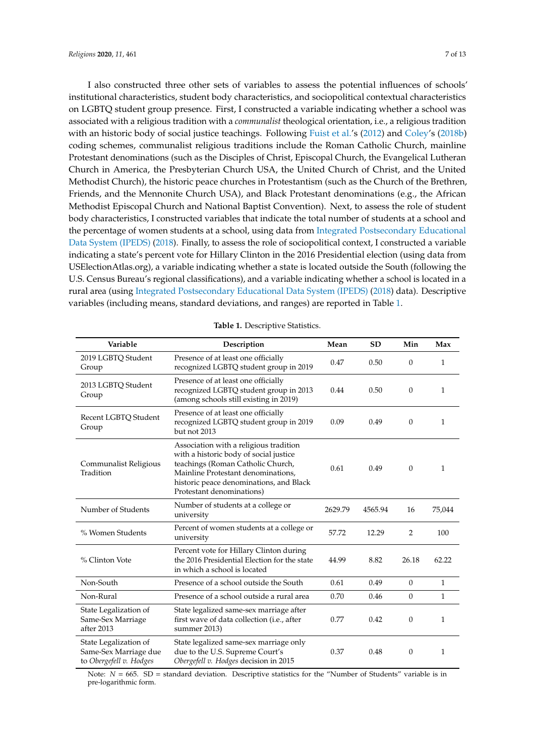I also constructed three other sets of variables to assess the potential influences of schools' institutional characteristics, student body characteristics, and sociopolitical contextual characteristics on LGBTQ student group presence. First, I constructed a variable indicating whether a school was associated with a religious tradition with a *communalist* theological orientation, i.e., a religious tradition with an historic body of social justice teachings. Following [Fuist et al.'](#page-11-21)s [\(2012\)](#page-11-21) and [Coley'](#page-11-6)s [\(2018b\)](#page-11-6) coding schemes, communalist religious traditions include the Roman Catholic Church, mainline Protestant denominations (such as the Disciples of Christ, Episcopal Church, the Evangelical Lutheran Church in America, the Presbyterian Church USA, the United Church of Christ, and the United Methodist Church), the historic peace churches in Protestantism (such as the Church of the Brethren, Friends, and the Mennonite Church USA), and Black Protestant denominations (e.g., the African Methodist Episcopal Church and National Baptist Convention). Next, to assess the role of student body characteristics, I constructed variables that indicate the total number of students at a school and the percentage of women students at a school, using data from [Integrated Postsecondary Educational](#page-11-22) [Data System \(IPEDS\)](#page-11-22) [\(2018\)](#page-11-22). Finally, to assess the role of sociopolitical context, I constructed a variable indicating a state's percent vote for Hillary Clinton in the 2016 Presidential election (using data from USElectionAtlas.org), a variable indicating whether a state is located outside the South (following the U.S. Census Bureau's regional classifications), and a variable indicating whether a school is located in a rural area (using [Integrated Postsecondary Educational Data System \(IPEDS\)](#page-11-22) [\(2018\)](#page-11-22) data). Descriptive variables (including means, standard deviations, and ranges) are reported in Table [1.](#page-6-0)

<span id="page-6-0"></span>

| Variable                                                                  | Description                                                                                                                                                                                                                         | Mean    | <b>SD</b> | Min              | Max          |
|---------------------------------------------------------------------------|-------------------------------------------------------------------------------------------------------------------------------------------------------------------------------------------------------------------------------------|---------|-----------|------------------|--------------|
| 2019 LGBTQ Student<br>Group                                               | Presence of at least one officially<br>recognized LGBTQ student group in 2019                                                                                                                                                       | 0.47    | 0.50      | $\boldsymbol{0}$ | 1            |
| 2013 LGBTQ Student<br>Group                                               | Presence of at least one officially<br>recognized LGBTQ student group in 2013<br>(among schools still existing in 2019)                                                                                                             | 0.44    | 0.50      | $\boldsymbol{0}$ | $\mathbf{1}$ |
| Recent LGBTQ Student<br>Group                                             | Presence of at least one officially<br>recognized LGBTQ student group in 2019<br>but not 2013                                                                                                                                       | 0.09    | 0.49      | $\theta$         | 1            |
| Communalist Religious<br>Tradition                                        | Association with a religious tradition<br>with a historic body of social justice<br>teachings (Roman Catholic Church,<br>Mainline Protestant denominations,<br>historic peace denominations, and Black<br>Protestant denominations) | 0.61    | 0.49      | $\theta$         | 1            |
| Number of Students                                                        | Number of students at a college or<br>university                                                                                                                                                                                    | 2629.79 | 4565.94   | 16               | 75,044       |
| % Women Students                                                          | Percent of women students at a college or<br>university                                                                                                                                                                             | 57.72   | 12.29     | $\overline{2}$   | 100          |
| % Clinton Vote                                                            | Percent vote for Hillary Clinton during<br>the 2016 Presidential Election for the state<br>in which a school is located                                                                                                             | 44.99   | 8.82      | 26.18            | 62.22        |
| Non-South                                                                 | Presence of a school outside the South                                                                                                                                                                                              | 0.61    | 0.49      | $\boldsymbol{0}$ | $\mathbf{1}$ |
| Non-Rural                                                                 | Presence of a school outside a rural area                                                                                                                                                                                           | 0.70    | 0.46      | $\theta$         | 1            |
| State Legalization of<br>Same-Sex Marriage<br>after 2013                  | State legalized same-sex marriage after<br>first wave of data collection (i.e., after<br>summer 2013)                                                                                                                               | 0.77    | 0.42      | $\boldsymbol{0}$ | $\mathbf{1}$ |
| State Legalization of<br>Same-Sex Marriage due<br>to Obergefell v. Hodges | State legalized same-sex marriage only<br>due to the U.S. Supreme Court's<br>Obergefell v. Hodges decision in 2015                                                                                                                  | 0.37    | 0.48      | $\theta$         | 1            |

| Table 1. Descriptive Statistics. |
|----------------------------------|
|----------------------------------|

Note:  $N = 665$ .  $SD =$  standard deviation. Descriptive statistics for the "Number of Students" variable is in pre-logarithmic form.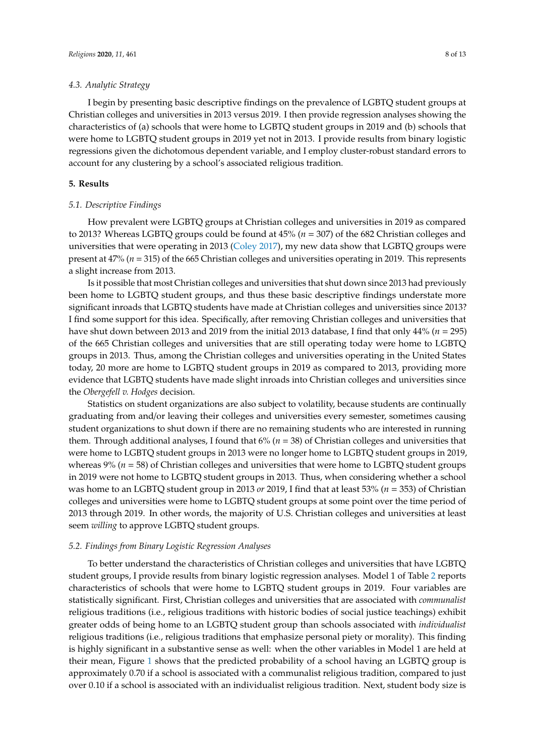#### *4.3. Analytic Strategy*

I begin by presenting basic descriptive findings on the prevalence of LGBTQ student groups at Christian colleges and universities in 2013 versus 2019. I then provide regression analyses showing the characteristics of (a) schools that were home to LGBTQ student groups in 2019 and (b) schools that were home to LGBTQ student groups in 2019 yet not in 2013. I provide results from binary logistic regressions given the dichotomous dependent variable, and I employ cluster-robust standard errors to account for any clustering by a school's associated religious tradition.

#### **5. Results**

#### *5.1. Descriptive Findings*

How prevalent were LGBTQ groups at Christian colleges and universities in 2019 as compared to 2013? Whereas LGBTQ groups could be found at 45% (*n* = 307) of the 682 Christian colleges and universities that were operating in 2013 [\(Coley](#page-11-5) [2017\)](#page-11-5), my new data show that LGBTQ groups were present at 47% (*n* = 315) of the 665 Christian colleges and universities operating in 2019. This represents a slight increase from 2013.

Is it possible that most Christian colleges and universities that shut down since 2013 had previously been home to LGBTQ student groups, and thus these basic descriptive findings understate more significant inroads that LGBTQ students have made at Christian colleges and universities since 2013? I find some support for this idea. Specifically, after removing Christian colleges and universities that have shut down between 2013 and 2019 from the initial 2013 database, I find that only 44% (*n* = 295) of the 665 Christian colleges and universities that are still operating today were home to LGBTQ groups in 2013. Thus, among the Christian colleges and universities operating in the United States today, 20 more are home to LGBTQ student groups in 2019 as compared to 2013, providing more evidence that LGBTQ students have made slight inroads into Christian colleges and universities since the *Obergefell v. Hodges* decision.

Statistics on student organizations are also subject to volatility, because students are continually graduating from and/or leaving their colleges and universities every semester, sometimes causing student organizations to shut down if there are no remaining students who are interested in running them. Through additional analyses, I found that 6% (*n* = 38) of Christian colleges and universities that were home to LGBTQ student groups in 2013 were no longer home to LGBTQ student groups in 2019, whereas 9% ( $n = 58$ ) of Christian colleges and universities that were home to LGBTQ student groups in 2019 were not home to LGBTQ student groups in 2013. Thus, when considering whether a school was home to an LGBTQ student group in 2013 *or* 2019, I find that at least 53% (*n* = 353) of Christian colleges and universities were home to LGBTQ student groups at some point over the time period of 2013 through 2019. In other words, the majority of U.S. Christian colleges and universities at least seem *willing* to approve LGBTQ student groups.

#### *5.2. Findings from Binary Logistic Regression Analyses*

To better understand the characteristics of Christian colleges and universities that have LGBTQ student groups, I provide results from binary logistic regression analyses. Model 1 of Table [2](#page-8-0) reports characteristics of schools that were home to LGBTQ student groups in 2019. Four variables are statistically significant. First, Christian colleges and universities that are associated with *communalist* religious traditions (i.e., religious traditions with historic bodies of social justice teachings) exhibit greater odds of being home to an LGBTQ student group than schools associated with *individualist* religious traditions (i.e., religious traditions that emphasize personal piety or morality). This finding is highly significant in a substantive sense as well: when the other variables in Model 1 are held at their mean, Figure [1](#page-8-1) shows that the predicted probability of a school having an LGBTQ group is approximately 0.70 if a school is associated with a communalist religious tradition, compared to just over 0.10 if a school is associated with an individualist religious tradition. Next, student body size is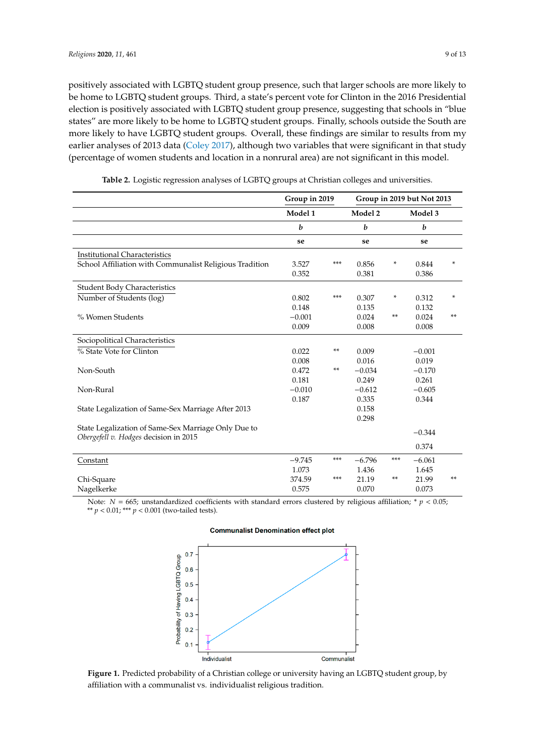positively associated with LGBTQ student group presence, such that larger schools are more likely to be home to LGBTQ student groups. Third, a state's percent vote for Clinton in the 2016 Presidential election is positively associated with LGBTQ student group presence, suggesting that schools in "blue states" are more likely to be home to LGBTQ student groups. Finally, schools outside the South are more likely to have LGBTQ student groups. Overall, these findings are similar to results from my earlier analyses of 2013 data [\(Coley](#page-11-5) [2017\)](#page-11-5), although two variables that were significant in that study (percentage of women students and location in a nonrural area) are not significant in this model.

<span id="page-8-0"></span>

|                                                                                              | Group in 2019    |     | Group in 2019 but Not 2013 |     |          |    |
|----------------------------------------------------------------------------------------------|------------------|-----|----------------------------|-----|----------|----|
|                                                                                              | Model 1          |     | Model 2                    |     | Model 3  |    |
|                                                                                              | $\boldsymbol{b}$ |     | b                          |     | b        |    |
|                                                                                              | se               |     | se                         |     | se       |    |
| <b>Institutional Characteristics</b>                                                         |                  |     |                            |     |          |    |
| School Affiliation with Communalist Religious Tradition                                      | 3.527            | *** | 0.856                      | *   | 0.844    | *  |
|                                                                                              | 0.352            |     | 0.381                      |     | 0.386    |    |
| <b>Student Body Characteristics</b>                                                          |                  |     |                            |     |          |    |
| Number of Students (log)                                                                     | 0.802            | *** | 0.307                      | *   | 0.312    | *  |
|                                                                                              | 0.148            |     | 0.135                      |     | 0.132    |    |
| % Women Students                                                                             | $-0.001$         |     | 0.024                      | **  | 0.024    | ** |
|                                                                                              | 0.009            |     | 0.008                      |     | 0.008    |    |
| Sociopolitical Characteristics                                                               |                  |     |                            |     |          |    |
| % State Vote for Clinton                                                                     | 0.022            | **  | 0.009                      |     | $-0.001$ |    |
|                                                                                              | 0.008            |     | 0.016                      |     | 0.019    |    |
| Non-South                                                                                    | 0.472            | **  | $-0.034$                   |     | $-0.170$ |    |
|                                                                                              | 0.181            |     | 0.249                      |     | 0.261    |    |
| Non-Rural                                                                                    | $-0.010$         |     | $-0.612$                   |     | $-0.605$ |    |
|                                                                                              | 0.187            |     | 0.335                      |     | 0.344    |    |
| State Legalization of Same-Sex Marriage After 2013                                           |                  |     | 0.158                      |     |          |    |
|                                                                                              |                  |     | 0.298                      |     |          |    |
| State Legalization of Same-Sex Marriage Only Due to<br>Obergefell v. Hodges decision in 2015 |                  |     |                            |     | $-0.344$ |    |
|                                                                                              |                  |     |                            |     | 0.374    |    |
| Constant                                                                                     | $-9.745$         | *** | $-6.796$                   | *** | $-6.061$ |    |
|                                                                                              | 1.073            |     | 1.436                      |     | 1.645    |    |
| Chi-Square                                                                                   | 374.59           | *** | 21.19                      | **  | 21.99    | ** |
| Nagelkerke                                                                                   | 0.575            |     | 0.070                      |     | 0.073    |    |

**Table 2.** Logistic regression analyses of LGBTQ groups at Christian colleges and universities.

<span id="page-8-1"></span>Note:  $N = 665$ ; unstandardized coefficients with standard errors clustered by religious affiliation; \*  $p < 0.05$ ;  $A^{**}$   $p < 0.01$ ;  $**$   $p < 0.001$  (two-tailed tests).

# **Communalist Denomination effect plot**



**Figure 1.** Predicted probability of a Christian college or university having an LGBTQ student group, **Figure 1.** Predicted probability of a Christian college or university having an LGBTQ student group, by by affiliation with a communalist vs. individualist religious tradition**.**  affiliation with a communalist vs. individualist religious tradition.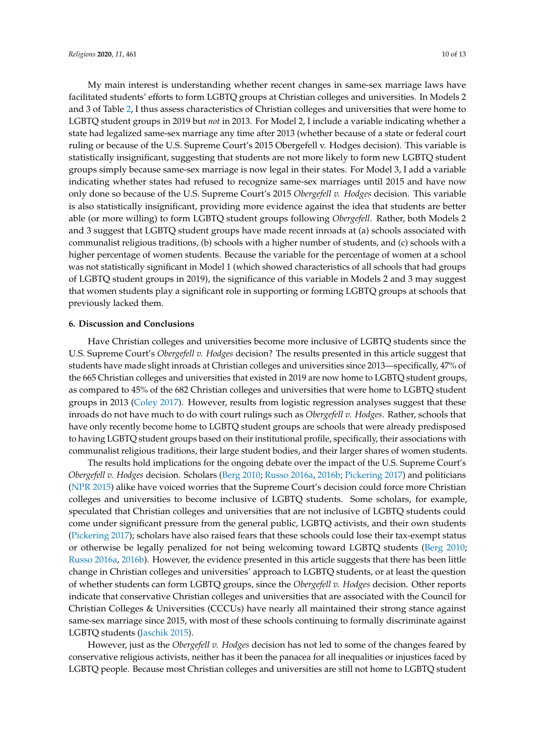My main interest is understanding whether recent changes in same-sex marriage laws have facilitated students' efforts to form LGBTQ groups at Christian colleges and universities. In Models 2 and 3 of Table [2,](#page-8-0) I thus assess characteristics of Christian colleges and universities that were home to LGBTQ student groups in 2019 but *not* in 2013. For Model 2, I include a variable indicating whether a state had legalized same-sex marriage any time after 2013 (whether because of a state or federal court ruling or because of the U.S. Supreme Court's 2015 Obergefell v. Hodges decision). This variable is statistically insignificant, suggesting that students are not more likely to form new LGBTQ student groups simply because same-sex marriage is now legal in their states. For Model 3, I add a variable indicating whether states had refused to recognize same-sex marriages until 2015 and have now only done so because of the U.S. Supreme Court's 2015 *Obergefell v. Hodges* decision. This variable is also statistically insignificant, providing more evidence against the idea that students are better able (or more willing) to form LGBTQ student groups following *Obergefell*. Rather, both Models 2 and 3 suggest that LGBTQ student groups have made recent inroads at (a) schools associated with communalist religious traditions, (b) schools with a higher number of students, and (c) schools with a higher percentage of women students. Because the variable for the percentage of women at a school was not statistically significant in Model 1 (which showed characteristics of all schools that had groups of LGBTQ student groups in 2019), the significance of this variable in Models 2 and 3 may suggest that women students play a significant role in supporting or forming LGBTQ groups at schools that previously lacked them.

#### **6. Discussion and Conclusions**

Have Christian colleges and universities become more inclusive of LGBTQ students since the U.S. Supreme Court's *Obergefell v. Hodges* decision? The results presented in this article suggest that students have made slight inroads at Christian colleges and universities since 2013—specifically, 47% of the 665 Christian colleges and universities that existed in 2019 are now home to LGBTQ student groups, as compared to 45% of the 682 Christian colleges and universities that were home to LGBTQ student groups in 2013 [\(Coley](#page-11-5) [2017\)](#page-11-5). However, results from logistic regression analyses suggest that these inroads do not have much to do with court rulings such as *Obergefell v. Hodges*. Rather, schools that have only recently become home to LGBTQ student groups are schools that were already predisposed to having LGBTQ student groups based on their institutional profile, specifically, their associations with communalist religious traditions, their large student bodies, and their larger shares of women students.

The results hold implications for the ongoing debate over the impact of the U.S. Supreme Court's *Obergefell v. Hodges* decision. Scholars [\(Berg](#page-10-1) [2010;](#page-10-1) [Russo](#page-12-2) [2016a,](#page-12-2) [2016b;](#page-12-3) [Pickering](#page-12-1) [2017\)](#page-12-1) and politicians [\(NPR](#page-12-0) [2015\)](#page-12-0) alike have voiced worries that the Supreme Court's decision could force more Christian colleges and universities to become inclusive of LGBTQ students. Some scholars, for example, speculated that Christian colleges and universities that are not inclusive of LGBTQ students could come under significant pressure from the general public, LGBTQ activists, and their own students [\(Pickering](#page-12-1) [2017\)](#page-12-1); scholars have also raised fears that these schools could lose their tax-exempt status or otherwise be legally penalized for not being welcoming toward LGBTQ students [\(Berg](#page-10-1) [2010;](#page-10-1) [Russo](#page-12-2) [2016a,](#page-12-2) [2016b\)](#page-12-3). However, the evidence presented in this article suggests that there has been little change in Christian colleges and universities' approach to LGBTQ students, or at least the question of whether students can form LGBTQ groups, since the *Obergefell v. Hodges* decision. Other reports indicate that conservative Christian colleges and universities that are associated with the Council for Christian Colleges & Universities (CCCUs) have nearly all maintained their strong stance against same-sex marriage since 2015, with most of these schools continuing to formally discriminate against LGBTQ students [\(Jaschik](#page-11-23) [2015\)](#page-11-23).

However, just as the *Obergefell v. Hodges* decision has not led to some of the changes feared by conservative religious activists, neither has it been the panacea for all inequalities or injustices faced by LGBTQ people. Because most Christian colleges and universities are still not home to LGBTQ student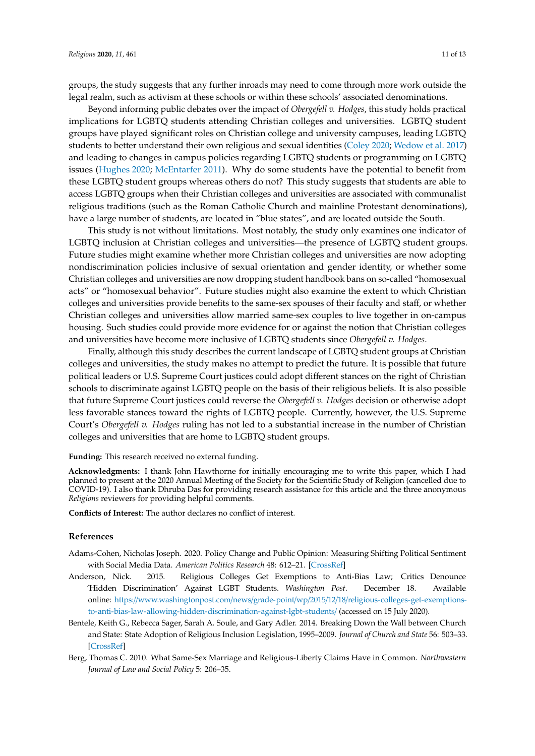groups, the study suggests that any further inroads may need to come through more work outside the legal realm, such as activism at these schools or within these schools' associated denominations.

Beyond informing public debates over the impact of *Obergefell v. Hodges*, this study holds practical implications for LGBTQ students attending Christian colleges and universities. LGBTQ student groups have played significant roles on Christian college and university campuses, leading LGBTQ students to better understand their own religious and sexual identities [\(Coley](#page-11-8) [2020;](#page-11-8) [Wedow et al.](#page-12-5) [2017\)](#page-12-5) and leading to changes in campus policies regarding LGBTQ students or programming on LGBTQ issues [\(Hughes](#page-11-12) [2020;](#page-11-12) [McEntarfer](#page-12-7) [2011\)](#page-12-7). Why do some students have the potential to benefit from these LGBTQ student groups whereas others do not? This study suggests that students are able to access LGBTQ groups when their Christian colleges and universities are associated with communalist religious traditions (such as the Roman Catholic Church and mainline Protestant denominations), have a large number of students, are located in "blue states", and are located outside the South.

This study is not without limitations. Most notably, the study only examines one indicator of LGBTQ inclusion at Christian colleges and universities—the presence of LGBTQ student groups. Future studies might examine whether more Christian colleges and universities are now adopting nondiscrimination policies inclusive of sexual orientation and gender identity, or whether some Christian colleges and universities are now dropping student handbook bans on so-called "homosexual acts" or "homosexual behavior". Future studies might also examine the extent to which Christian colleges and universities provide benefits to the same-sex spouses of their faculty and staff, or whether Christian colleges and universities allow married same-sex couples to live together in on-campus housing. Such studies could provide more evidence for or against the notion that Christian colleges and universities have become more inclusive of LGBTQ students since *Obergefell v. Hodges*.

Finally, although this study describes the current landscape of LGBTQ student groups at Christian colleges and universities, the study makes no attempt to predict the future. It is possible that future political leaders or U.S. Supreme Court justices could adopt different stances on the right of Christian schools to discriminate against LGBTQ people on the basis of their religious beliefs. It is also possible that future Supreme Court justices could reverse the *Obergefell v. Hodges* decision or otherwise adopt less favorable stances toward the rights of LGBTQ people. Currently, however, the U.S. Supreme Court's *Obergefell v. Hodges* ruling has not led to a substantial increase in the number of Christian colleges and universities that are home to LGBTQ student groups.

**Funding:** This research received no external funding.

**Acknowledgments:** I thank John Hawthorne for initially encouraging me to write this paper, which I had planned to present at the 2020 Annual Meeting of the Society for the Scientific Study of Religion (cancelled due to COVID-19). I also thank Dhruba Das for providing research assistance for this article and the three anonymous *Religions* reviewers for providing helpful comments.

**Conflicts of Interest:** The author declares no conflict of interest.

#### **References**

- <span id="page-10-2"></span>Adams-Cohen, Nicholas Joseph. 2020. Policy Change and Public Opinion: Measuring Shifting Political Sentiment with Social Media Data. *American Politics Research* 48: 612–21. [\[CrossRef\]](http://dx.doi.org/10.1177/1532673X20920263)
- <span id="page-10-3"></span>Anderson, Nick. 2015. Religious Colleges Get Exemptions to Anti-Bias Law; Critics Denounce 'Hidden Discrimination' Against LGBT Students. *Washington Post*. December 18. Available online: https://www.washingtonpost.com/news/grade-point/wp/2015/12/18/[religious-colleges-get-exemptions](https://www.washingtonpost.com/news/grade-point/wp/2015/12/18/religious-colleges-get-exemptions-to-anti-bias-law-allowing-hidden-discrimination-against-lgbt-students/)[to-anti-bias-law-allowing-hidden-discrimination-against-lgbt-students](https://www.washingtonpost.com/news/grade-point/wp/2015/12/18/religious-colleges-get-exemptions-to-anti-bias-law-allowing-hidden-discrimination-against-lgbt-students/)/ (accessed on 15 July 2020).
- <span id="page-10-0"></span>Bentele, Keith G., Rebecca Sager, Sarah A. Soule, and Gary Adler. 2014. Breaking Down the Wall between Church and State: State Adoption of Religious Inclusion Legislation, 1995–2009. *Journal of Church and State* 56: 503–33. [\[CrossRef\]](http://dx.doi.org/10.1093/jcs/css145)
- <span id="page-10-1"></span>Berg, Thomas C. 2010. What Same-Sex Marriage and Religious-Liberty Claims Have in Common. *Northwestern Journal of Law and Social Policy* 5: 206–35.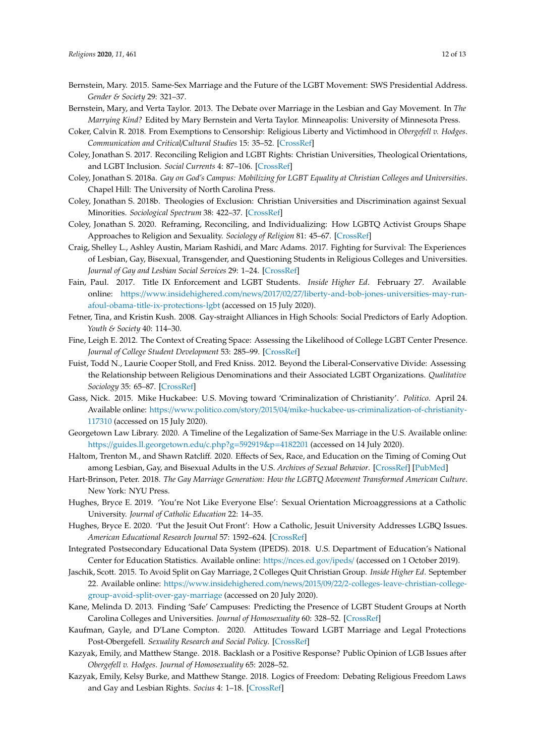- <span id="page-11-1"></span>Bernstein, Mary. 2015. Same-Sex Marriage and the Future of the LGBT Movement: SWS Presidential Address. *Gender & Society* 29: 321–37.
- <span id="page-11-0"></span>Bernstein, Mary, and Verta Taylor. 2013. The Debate over Marriage in the Lesbian and Gay Movement. In *The Marrying Kind?* Edited by Mary Bernstein and Verta Taylor. Minneapolis: University of Minnesota Press.
- <span id="page-11-2"></span>Coker, Calvin R. 2018. From Exemptions to Censorship: Religious Liberty and Victimhood in *Obergefell v. Hodges*. *Communication and Critical*/*Cultural Studies* 15: 35–52. [\[CrossRef\]](http://dx.doi.org/10.1080/14791420.2018.1424918)
- <span id="page-11-5"></span>Coley, Jonathan S. 2017. Reconciling Religion and LGBT Rights: Christian Universities, Theological Orientations, and LGBT Inclusion. *Social Currents* 4: 87–106. [\[CrossRef\]](http://dx.doi.org/10.1177/2329496516651639)
- <span id="page-11-9"></span>Coley, Jonathan S. 2018a. *Gay on God's Campus: Mobilizing for LGBT Equality at Christian Colleges and Universities*. Chapel Hill: The University of North Carolina Press.
- <span id="page-11-6"></span>Coley, Jonathan S. 2018b. Theologies of Exclusion: Christian Universities and Discrimination against Sexual Minorities. *Sociological Spectrum* 38: 422–37. [\[CrossRef\]](http://dx.doi.org/10.1080/02732173.2018.1564097)
- <span id="page-11-8"></span>Coley, Jonathan S. 2020. Reframing, Reconciling, and Individualizing: How LGBTQ Activist Groups Shape Approaches to Religion and Sexuality. *Sociology of Religion* 81: 45–67. [\[CrossRef\]](http://dx.doi.org/10.1093/socrel/srz023)
- <span id="page-11-10"></span>Craig, Shelley L., Ashley Austin, Mariam Rashidi, and Marc Adams. 2017. Fighting for Survival: The Experiences of Lesbian, Gay, Bisexual, Transgender, and Questioning Students in Religious Colleges and Universities. *Journal of Gay and Lesbian Social Services* 29: 1–24. [\[CrossRef\]](http://dx.doi.org/10.1080/10538720.2016.1260512)
- <span id="page-11-16"></span>Fain, Paul. 2017. Title IX Enforcement and LGBT Students. *Inside Higher Ed*. February 27. Available online: https://www.insidehighered.com/news/2017/02/27/[liberty-and-bob-jones-universities-may-run](https://www.insidehighered.com/news/2017/02/27/liberty-and-bob-jones-universities-may-run-afoul-obama-title-ix-protections-lgbt)[afoul-obama-title-ix-protections-lgbt](https://www.insidehighered.com/news/2017/02/27/liberty-and-bob-jones-universities-may-run-afoul-obama-title-ix-protections-lgbt) (accessed on 15 July 2020).
- <span id="page-11-19"></span>Fetner, Tina, and Kristin Kush. 2008. Gay-straight Alliances in High Schools: Social Predictors of Early Adoption. *Youth & Society* 40: 114–30.
- <span id="page-11-17"></span>Fine, Leigh E. 2012. The Context of Creating Space: Assessing the Likelihood of College LGBT Center Presence. *Journal of College Student Development* 53: 285–99. [\[CrossRef\]](http://dx.doi.org/10.1353/csd.2012.0017)
- <span id="page-11-21"></span>Fuist, Todd N., Laurie Cooper Stoll, and Fred Kniss. 2012. Beyond the Liberal-Conservative Divide: Assessing the Relationship between Religious Denominations and their Associated LGBT Organizations. *Qualitative Sociology* 35: 65–87. [\[CrossRef\]](http://dx.doi.org/10.1007/s11133-011-9211-3)
- <span id="page-11-3"></span>Gass, Nick. 2015. Mike Huckabee: U.S. Moving toward 'Criminalization of Christianity'. *Politico*. April 24. Available online: https://www.politico.com/story/2015/04/[mike-huckabee-us-criminalization-of-christianity-](https://www.politico.com/story/2015/04/mike-huckabee-us-criminalization-of-christianity-117310)[117310](https://www.politico.com/story/2015/04/mike-huckabee-us-criminalization-of-christianity-117310) (accessed on 15 July 2020).
- <span id="page-11-20"></span>Georgetown Law Library. 2020. A Timeline of the Legalization of Same-Sex Marriage in the U.S. Available online: https://[guides.ll.georgetown.edu](https://guides.ll.georgetown.edu/c.php?g=592919&p=4182201)/c.php?g=592919&p=4182201 (accessed on 14 July 2020).
- <span id="page-11-7"></span>Haltom, Trenton M., and Shawn Ratcliff. 2020. Effects of Sex, Race, and Education on the Timing of Coming Out among Lesbian, Gay, and Bisexual Adults in the U.S. *Archives of Sexual Behavior*. [\[CrossRef\]](http://dx.doi.org/10.1007/s10508-020-01776-x) [\[PubMed\]](http://www.ncbi.nlm.nih.gov/pubmed/32638192)
- <span id="page-11-13"></span>Hart-Brinson, Peter. 2018. *The Gay Marriage Generation: How the LGBTQ Movement Transformed American Culture*. New York: NYU Press.
- <span id="page-11-11"></span>Hughes, Bryce E. 2019. 'You're Not Like Everyone Else': Sexual Orientation Microaggressions at a Catholic University. *Journal of Catholic Education* 22: 14–35.
- <span id="page-11-12"></span>Hughes, Bryce E. 2020. 'Put the Jesuit Out Front': How a Catholic, Jesuit University Addresses LGBQ Issues. *American Educational Research Journal* 57: 1592–624. [\[CrossRef\]](http://dx.doi.org/10.3102/0002831219878681)
- <span id="page-11-22"></span>Integrated Postsecondary Educational Data System (IPEDS). 2018. U.S. Department of Education's National Center for Education Statistics. Available online: https://[nces.ed.gov](https://nces.ed.gov/ipeds/)/ipeds/ (accessed on 1 October 2019).
- <span id="page-11-23"></span>Jaschik, Scott. 2015. To Avoid Split on Gay Marriage, 2 Colleges Quit Christian Group. *Inside Higher Ed*. September 22. Available online: https://www.insidehighered.com/news/2015/09/22/[2-colleges-leave-christian-college](https://www.insidehighered.com/news/2015/09/22/2-colleges-leave-christian-college-group-avoid-split-over-gay-marriage)[group-avoid-split-over-gay-marriage](https://www.insidehighered.com/news/2015/09/22/2-colleges-leave-christian-college-group-avoid-split-over-gay-marriage) (accessed on 20 July 2020).
- <span id="page-11-18"></span>Kane, Melinda D. 2013. Finding 'Safe' Campuses: Predicting the Presence of LGBT Student Groups at North Carolina Colleges and Universities. *Journal of Homosexuality* 60: 328–52. [\[CrossRef\]](http://dx.doi.org/10.1080/00918369.2013.774837)
- <span id="page-11-14"></span>Kaufman, Gayle, and D'Lane Compton. 2020. Attitudes Toward LGBT Marriage and Legal Protections Post-Obergefell. *Sexuality Research and Social Policy*. [\[CrossRef\]](http://dx.doi.org/10.1007/s13178-020-00460-y)
- <span id="page-11-15"></span>Kazyak, Emily, and Matthew Stange. 2018. Backlash or a Positive Response? Public Opinion of LGB Issues after *Obergefell v. Hodges*. *Journal of Homosexuality* 65: 2028–52.
- <span id="page-11-4"></span>Kazyak, Emily, Kelsy Burke, and Matthew Stange. 2018. Logics of Freedom: Debating Religious Freedom Laws and Gay and Lesbian Rights. *Socius* 4: 1–18. [\[CrossRef\]](http://dx.doi.org/10.1177/2378023118760413)